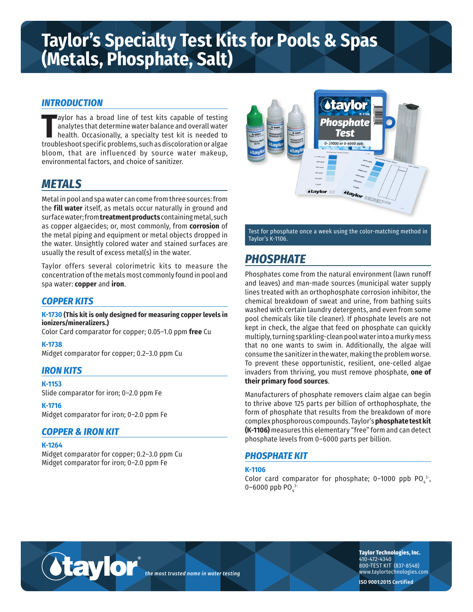# **Taylor's Specialty Test Kits for Pools & Spas (Metals, Phosphate, Salt)**

### *INTRODUCTION*

Taylor has a broad line of test kits capable of testing<br>
analytes that determine water balance and overall water<br>
health. Occasionally, a specialty test kit is needed to<br>
troubleshoot specific problems, such as discolorati aylor has a broad line of test kits capable of testing analytes that determine water balance and overall water health. Occasionally, a specialty test kit is needed to bloom, that are influenced by source water makeup, environmental factors, and choice of sanitizer.

# *METALS*

Metal in pool and spa water can come from three sources: from the **fill water** itself, as metals occur naturally in ground and surface water; from **treatment products** containing metal, such as copper algaecides; or, most commonly, from **corrosion** of the metal piping and equipment or metal objects dropped in the water. Unsightly colored water and stained surfaces are usually the result of excess metal(s) in the water.

Taylor offers several colorimetric kits to measure the concentration of the metals most commonly found in pool and spa water: **copper** and **iron**.

### *COPPER KITS*

**K-1730 (This kit is only designed for measuring copper levels in ionizers/mineralizers.)**

Color Card comparator for copper; 0.05–1.0 ppm **free** Cu

**K-1738**

Midget comparator for copper; 0.2–3.0 ppm Cu

#### *IRON KITS*

**K-1153**

Slide comparator for iron; 0–2.0 ppm Fe

**K-1716**

Midget comparator for iron; 0–2.0 ppm Fe

#### *COPPER & IRON KIT*

#### **K-1264**

Midget comparator for copper; 0.2–3.0 ppm Cu Midget comparator for iron; 0–2.0 ppm Fe

taylor



Test for phosphate once a week using the color-matching method in Taylor's K-1106.

# *PHOSPHATE*

Phosphates come from the natural environment (lawn runoff and leaves) and man-made sources (municipal water supply lines treated with an orthophosphate corrosion inhibitor, the chemical breakdown of sweat and urine, from bathing suits washed with certain laundry detergents, and even from some pool chemicals like tile cleaner). If phosphate levels are not kept in check, the algae that feed on phosphate can quickly multiply, turning sparkling-clean pool water into a murky mess that no one wants to swim in. Additionally, the algae will consume the sanitizer in the water, making the problem worse. To prevent these opportunistic, resilient, one-celled algae invaders from thriving, you must remove phosphate, **one of their primary food sources**.

Manufacturers of phosphate removers claim algae can begin to thrive above 125 parts per billion of orthophosphate, the form of phosphate that results from the breakdown of more complex phosphorous compounds. Taylor's **phosphate test kit (K-1106)** measures this elementary "free" form and can detect phosphate levels from 0–6000 parts per billion.

#### *PHOSPHATE KIT*

#### **K-1106**

Color card comparator for phosphate; 0–1000 ppb PO $_4^{3}$ , 0–6000 ppb PO $_4^{3-}$ 

*the most trusted name in water testing*

**Taylor Technologies, Inc.** 410-472-4340 800-TEST KIT (837-8548) www.taylortechnologies.com

**ISO 9001:2015 Certified**